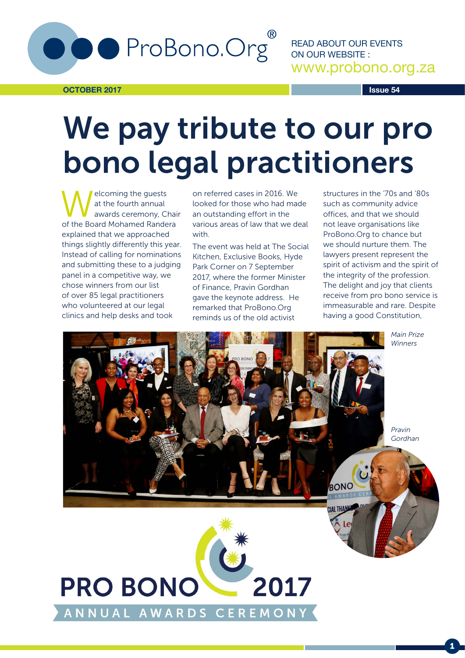

**OCTOBER 2017**

READ ABOUT OUR EVENTS ON OUR WEBSITE : www.probono.org.za

**Issue 54**

## We pay tribute to our pro bono legal practitioners

elcoming the guests at the fourth annual awards ceremony, Chair of the Board Mohamed Randera explained that we approached things slightly differently this year. Instead of calling for nominations and submitting these to a judging panel in a competitive way, we chose winners from our list of over 85 legal practitioners who volunteered at our legal clinics and help desks and took

on referred cases in 2016. We looked for those who had made an outstanding effort in the various areas of law that we deal with.

The event was held at The Social Kitchen, Exclusive Books, Hyde Park Corner on 7 September 2017, where the former Minister of Finance, Pravin Gordhan gave the keynote address. He remarked that ProBono.Org reminds us of the old activist

structures in the '70s and '80s such as community advice offices, and that we should not leave organisations like ProBono.Org to chance but we should nurture them. The lawyers present represent the spirit of activism and the spirit of the integrity of the profession. The delight and joy that clients receive from pro bono service is immeasurable and rare. Despite having a good Constitution,



1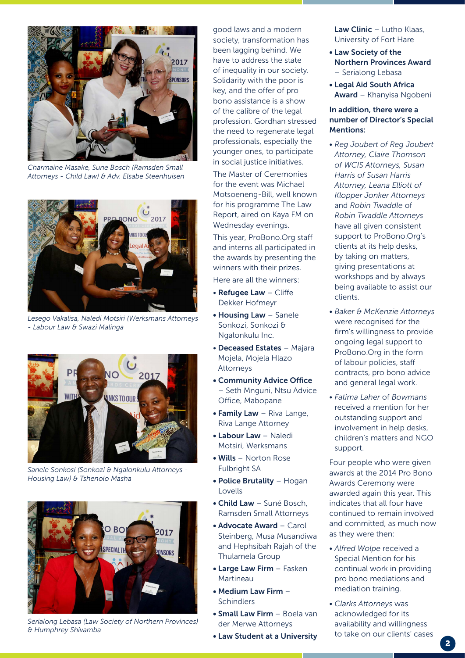

*Charmaine Masake, Sune Bosch (Ramsden Small Attorneys - Child Law) & Adv. Elsabe Steenhuisen*



*Lesego Vakalisa, Naledi Motsiri (Werksmans Attorneys - Labour Law & Swazi Malinga*



*Sanele Sonkosi (Sonkozi & Ngalonkulu Attorneys - Housing Law) & Tshenolo Masha*



*Serialong Lebasa (Law Society of Northern Provinces) & Humphrey Shivamba*

good laws and a modern society, transformation has been lagging behind. We have to address the state of inequality in our society. Solidarity with the poor is key, and the offer of pro bono assistance is a show of the calibre of the legal profession. Gordhan stressed the need to regenerate legal professionals, especially the younger ones, to participate in social justice initiatives.

The Master of Ceremonies for the event was Michael Motsoeneng-Bill, well known for his programme The Law Report, aired on Kaya FM on Wednesday evenings.

This year, ProBono.Org staff and interns all participated in the awards by presenting the winners with their prizes.

Here are all the winners:

- Refugee Law Cliffe Dekker Hofmeyr
- Housing Law Sanele Sonkozi, Sonkozi & Ngalonkulu Inc.
- Deceased Estates Majara Mojela, Mojela Hlazo Attorneys
- Community Advice Office – Seth Mnguni, Ntsu Advice Office, Mabopane
- Family Law Riva Lange, Riva Lange Attorney
- Labour Law Naledi Motsiri, Werksmans
- Wills Norton Rose Fulbright SA
- Police Brutality Hogan Lovells
- Child Law Suné Bosch, Ramsden Small Attorneys
- Advocate Award Carol Steinberg, Musa Musandiwa and Hephsibah Rajah of the Thulamela Group
- Large Law Firm Fasken Martineau
- Medium Law Firm **Schindlers**
- Small Law Firm Boela van der Merwe Attorneys
- Law Student at a University

Law Clinic – Lutho Klaas, University of Fort Hare

- Law Society of the Northern Provinces Award – Serialong Lebasa
- Legal Aid South Africa Award – Khanyisa Ngobeni

## In addition, there were a number of Director's Special Mentions:

- *Reg Joubert of Reg Joubert Attorney, Claire Thomson of WCIS Attorneys, Susan Harris of Susan Harris Attorney, Leana Elliott of Klopper Jonker Attorneys* and *Robin Twaddle* of *Robin Twaddle Attorneys* have all given consistent support to ProBono.Org's clients at its help desks, by taking on matters, giving presentations at workshops and by always being available to assist our clients.
- *Baker & McKenzie Attorneys* were recognised for the firm's willingness to provide ongoing legal support to ProBono.Org in the form of labour policies, staff contracts, pro bono advice and general legal work.
- *Fatima Laher* of *Bowmans*  received a mention for her outstanding support and involvement in help desks, children's matters and NGO support.

Four people who were given awards at the 2014 Pro Bono Awards Ceremony were awarded again this year. This indicates that all four have continued to remain involved and committed, as much now as they were then:

- *Alfred Wolpe* received a Special Mention for his continual work in providing pro bono mediations and mediation training.
- *Clarks Attorneys* was acknowledged for its availability and willingness to take on our clients' cases